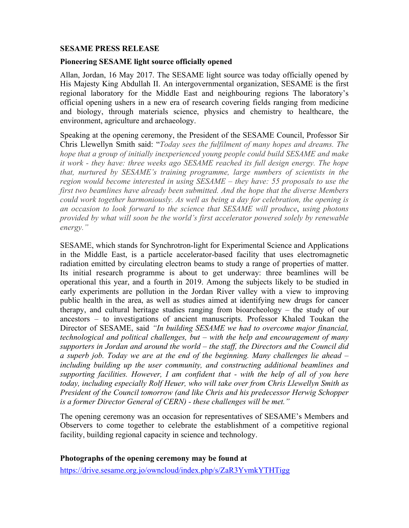#### **SESAME PRESS RELEASE**

#### **Pioneering SESAME light source officially opened**

Allan, Jordan, 16 May 2017. The SESAME light source was today officially opened by His Majesty King Abdullah II. An intergovernmental organization, SESAME is the first regional laboratory for the Middle East and neighbouring regions The laboratory's official opening ushers in a new era of research covering fields ranging from medicine and biology, through materials science, physics and chemistry to healthcare, the environment, agriculture and archaeology.

Speaking at the opening ceremony, the President of the SESAME Council, Professor Sir Chris Llewellyn Smith said: "*Today sees the fulfilment of many hopes and dreams. The hope that a group of initially inexperienced young people could build SESAME and make it work - they have: three weeks ago SESAME reached its full design energy. The hope that, nurtured by SESAME's training programme, large numbers of scientists in the region would become interested in using SESAME – they have: 55 proposals to use the first two beamlines have already been submitted. And the hope that the diverse Members could work together harmoniously. As well as being a day for celebration, the opening is an occasion to look forward to the science that SESAME will produce*, *using photons provided by what will soon be the world's first accelerator powered solely by renewable energy."*

SESAME, which stands for Synchrotron-light for Experimental Science and Applications in the Middle East, is a particle accelerator-based facility that uses electromagnetic radiation emitted by circulating electron beams to study a range of properties of matter. Its initial research programme is about to get underway: three beamlines will be operational this year, and a fourth in 2019. Among the subjects likely to be studied in early experiments are pollution in the Jordan River valley with a view to improving public health in the area, as well as studies aimed at identifying new drugs for cancer therapy, and cultural heritage studies ranging from bioarcheology – the study of our ancestors – to investigations of ancient manuscripts. Professor Khaled Toukan the Director of SESAME, said *"In building SESAME we had to overcome major financial, technological and political challenges, but – with the help and encouragement of many supporters in Jordan and around the world – the staff, the Directors and the Council did a superb job. Today we are at the end of the beginning. Many challenges lie ahead – including building up the user community, and constructing additional beamlines and supporting facilities. However, I am confident that - with the help of all of you here today, including especially Rolf Heuer, who will take over from Chris Llewellyn Smith as President of the Council tomorrow (and like Chris and his predecessor Herwig Schopper is a former Director General of CERN) - these challenges will be met."*

The opening ceremony was an occasion for representatives of SESAME's Members and Observers to come together to celebrate the establishment of a competitive regional facility, building regional capacity in science and technology.

## **Photographs of the opening ceremony may be found at**

https://drive.sesame.org.jo/owncloud/index.php/s/ZaR3YvmkYTHTigg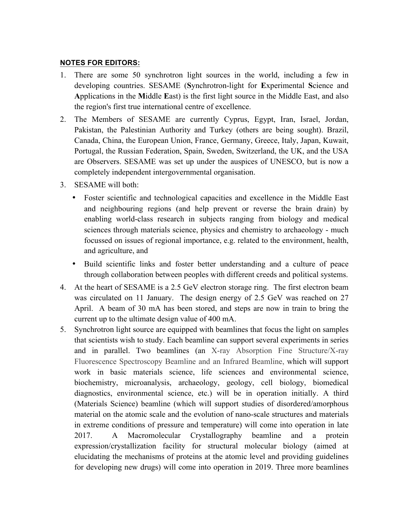## **NOTES FOR EDITORS:**

- 1. There are some 50 synchrotron light sources in the world, including a few in developing countries. SESAME (**S**ynchrotron-light for **E**xperimental **S**cience and **A**pplications in the **M**iddle **E**ast) is the first light source in the Middle East, and also the region's first true international centre of excellence.
- 2. The Members of SESAME are currently Cyprus, Egypt, Iran, Israel, Jordan, Pakistan, the Palestinian Authority and Turkey (others are being sought). Brazil, Canada, China, the European Union, France, Germany, Greece, Italy, Japan, Kuwait, Portugal, the Russian Federation, Spain, Sweden, Switzerland, the UK, and the USA are Observers. SESAME was set up under the auspices of UNESCO, but is now a completely independent intergovernmental organisation.
- 3. SESAME will both:
	- Foster scientific and technological capacities and excellence in the Middle East and neighbouring regions (and help prevent or reverse the brain drain) by enabling world-class research in subjects ranging from biology and medical sciences through materials science, physics and chemistry to archaeology - much focussed on issues of regional importance, e.g. related to the environment, health, and agriculture, and
	- Build scientific links and foster better understanding and a culture of peace through collaboration between peoples with different creeds and political systems.
- 4. At the heart of SESAME is a 2.5 GeV electron storage ring. The first electron beam was circulated on 11 January. The design energy of 2.5 GeV was reached on 27 April. A beam of 30 mA has been stored, and steps are now in train to bring the current up to the ultimate design value of 400 mA.
- 5. Synchrotron light source are equipped with beamlines that focus the light on samples that scientists wish to study. Each beamline can support several experiments in series and in parallel. Two beamlines (an X-ray Absorption Fine Structure/X-ray Fluorescence Spectroscopy Beamline and an Infrared Beamline, which will support work in basic materials science, life sciences and environmental science, biochemistry, microanalysis, archaeology, geology, cell biology, biomedical diagnostics, environmental science, etc.) will be in operation initially. A third (Materials Science) beamline (which will support studies of disordered/amorphous material on the atomic scale and the evolution of nano-scale structures and materials in extreme conditions of pressure and temperature) will come into operation in late 2017. A Macromolecular Crystallography beamline and a protein expression/crystallization facility for structural molecular biology (aimed at elucidating the mechanisms of proteins at the atomic level and providing guidelines for developing new drugs) will come into operation in 2019. Three more beamlines